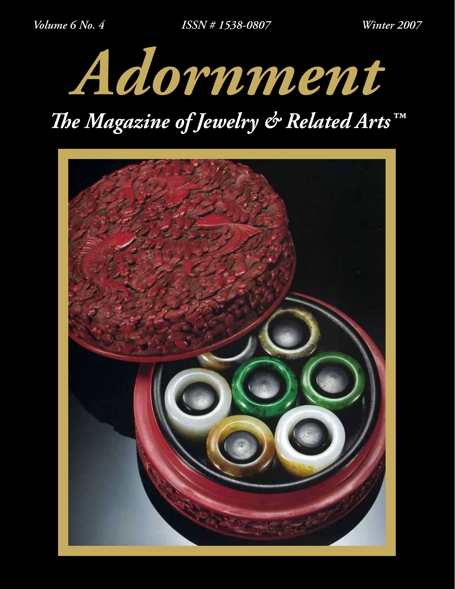

# *The Magazine of Jewelry & Related Arts™*

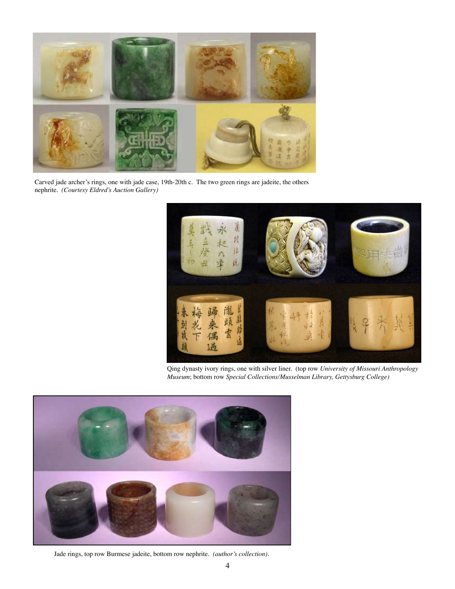

Carved jade archer's rings, one with jade case, 19th-20th c. The two green rings are jadeite, the others nephrite. *(Courtesy Eldred's Auction Gallery)*



Qing dynasty ivory rings, one with silver liner. (top row *University of Missouri Anthropology Museum*; bottom row *Special Collections/Musselman Library, Gettysburg College)*



Jade rings, top row Burmese jadeite, bottom row nephrite. *(author's collection).*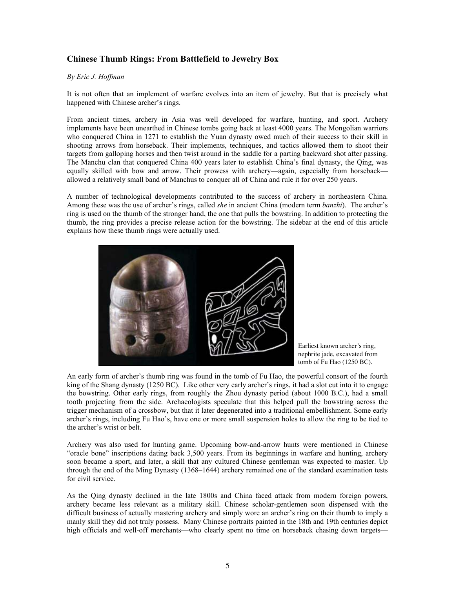# **Chinese Thumb Rings: From Battlefield to Jewelry Box**

#### *By Eric J. Hoffman*

It is not often that an implement of warfare evolves into an item of jewelry. But that is precisely what happened with Chinese archer's rings.

From ancient times, archery in Asia was well developed for warfare, hunting, and sport. Archery implements have been unearthed in Chinese tombs going back at least 4000 years. The Mongolian warriors who conquered China in 1271 to establish the Yuan dynasty owed much of their success to their skill in shooting arrows from horseback. Their implements, techniques, and tactics allowed them to shoot their targets from galloping horses and then twist around in the saddle for a parting backward shot after passing. The Manchu clan that conquered China 400 years later to establish China's final dynasty, the Qing, was equally skilled with bow and arrow. Their prowess with archery—again, especially from horseback allowed a relatively small band of Manchus to conquer all of China and rule it for over 250 years.

A number of technological developments contributed to the success of archery in northeastern China. Among these was the use of archer's rings, called *she* in ancient China (modern term *banzhi*). The archer's ring is used on the thumb of the stronger hand, the one that pulls the bowstring. In addition to protecting the thumb, the ring provides a precise release action for the bowstring. The sidebar at the end of this article explains how these thumb rings were actually used.



Earliest known archer's ring, nephrite jade, excavated from tomb of Fu Hao (1250 BC).

An early form of archer's thumb ring was found in the tomb of Fu Hao, the powerful consort of the fourth king of the Shang dynasty (1250 BC). Like other very early archer's rings, it had a slot cut into it to engage the bowstring. Other early rings, from roughly the Zhou dynasty period (about 1000 B.C.), had a small tooth projecting from the side. Archaeologists speculate that this helped pull the bowstring across the trigger mechanism of a crossbow, but that it later degenerated into a traditional embellishment. Some early archer's rings, including Fu Hao's, have one or more small suspension holes to allow the ring to be tied to the archer's wrist or belt.

Archery was also used for hunting game. Upcoming bow-and-arrow hunts were mentioned in Chinese "oracle bone" inscriptions dating back 3,500 years. From its beginnings in warfare and hunting, archery soon became a sport, and later, a skill that any cultured Chinese gentleman was expected to master. Up through the end of the Ming Dynasty (1368–1644) archery remained one of the standard examination tests for civil service.

As the Qing dynasty declined in the late 1800s and China faced attack from modern foreign powers, archery became less relevant as a military skill. Chinese scholar-gentlemen soon dispensed with the difficult business of actually mastering archery and simply wore an archer's ring on their thumb to imply a manly skill they did not truly possess. Many Chinese portraits painted in the 18th and 19th centuries depict high officials and well-off merchants—who clearly spent no time on horseback chasing down targets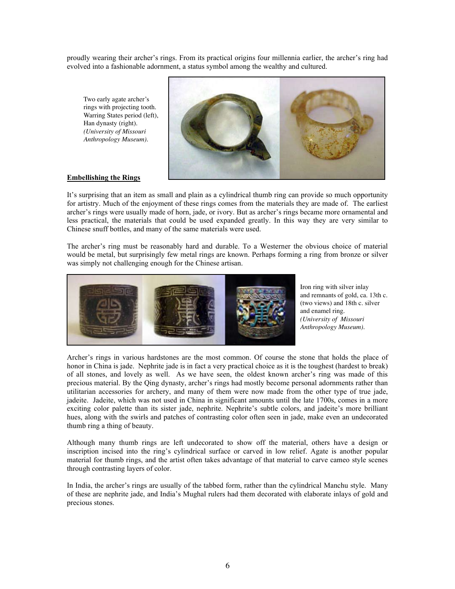proudly wearing their archer's rings. From its practical origins four millennia earlier, the archer's ring had evolved into a fashionable adornment, a status symbol among the wealthy and cultured.

Two early agate archer's rings with projecting tooth. Warring States period (left), Han dynasty (right). *(University of Missouri Anthropology Museum).*



## **Embellishing the Rings**

It's surprising that an item as small and plain as a cylindrical thumb ring can provide so much opportunity for artistry. Much of the enjoyment of these rings comes from the materials they are made of. The earliest archer's rings were usually made of horn, jade, or ivory. But as archer's rings became more ornamental and less practical, the materials that could be used expanded greatly. In this way they are very similar to Chinese snuff bottles, and many of the same materials were used.

The archer's ring must be reasonably hard and durable. To a Westerner the obvious choice of material would be metal, but surprisingly few metal rings are known. Perhaps forming a ring from bronze or silver was simply not challenging enough for the Chinese artisan.



Iron ring with silver inlay and remnants of gold, ca. 13th c. (two views) and 18th c. silver and enamel ring. *(University of Missouri Anthropology Museum).* 

Archer's rings in various hardstones are the most common. Of course the stone that holds the place of honor in China is jade. Nephrite jade is in fact a very practical choice as it is the toughest (hardest to break) of all stones, and lovely as well. As we have seen, the oldest known archer's ring was made of this precious material. By the Qing dynasty, archer's rings had mostly become personal adornments rather than utilitarian accessories for archery, and many of them were now made from the other type of true jade, jadeite. Jadeite, which was not used in China in significant amounts until the late 1700s, comes in a more exciting color palette than its sister jade, nephrite. Nephrite's subtle colors, and jadeite's more brilliant hues, along with the swirls and patches of contrasting color often seen in jade, make even an undecorated thumb ring a thing of beauty.

Although many thumb rings are left undecorated to show off the material, others have a design or inscription incised into the ring's cylindrical surface or carved in low relief. Agate is another popular material for thumb rings, and the artist often takes advantage of that material to carve cameo style scenes through contrasting layers of color.

In India, the archer's rings are usually of the tabbed form, rather than the cylindrical Manchu style. Many of these are nephrite jade, and India's Mughal rulers had them decorated with elaborate inlays of gold and precious stones.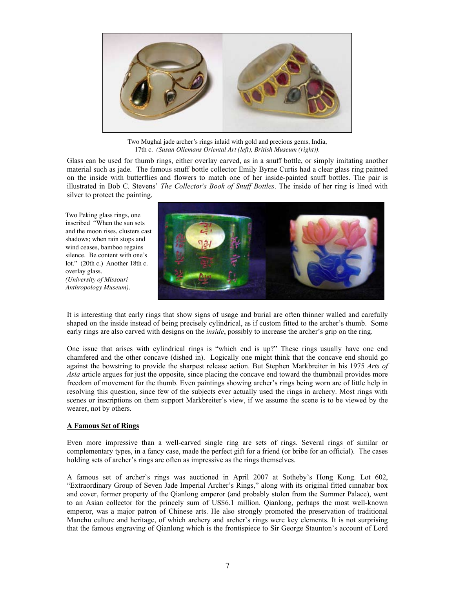

Two Mughal jade archer's rings inlaid with gold and precious gems, India, 17th c*. (Susan Ollemans Oriental Art (left), British Museum (right)).*

Glass can be used for thumb rings, either overlay carved, as in a snuff bottle, or simply imitating another material such as jade. The famous snuff bottle collector Emily Byrne Curtis had a clear glass ring painted on the inside with butterflies and flowers to match one of her inside-painted snuff bottles. The pair is illustrated in Bob C. Stevens' *The Collector*'*s Book of Snuff Bottles*. The inside of her ring is lined with silver to protect the painting.

Two Peking glass rings, one inscribed "When the sun sets and the moon rises, clusters cast shadows; when rain stops and wind ceases, bamboo regains silence. Be content with one's lot." (20th c.) Another 18th c. overlay glass. *(University of Missouri Anthropology Museum).*



It is interesting that early rings that show signs of usage and burial are often thinner walled and carefully shaped on the inside instead of being precisely cylindrical, as if custom fitted to the archer's thumb. Some early rings are also carved with designs on the *inside*, possibly to increase the archer's grip on the ring.

One issue that arises with cylindrical rings is "which end is up?" These rings usually have one end chamfered and the other concave (dished in). Logically one might think that the concave end should go against the bowstring to provide the sharpest release action. But Stephen Markbreiter in his 1975 *Arts of Asia* article argues for just the opposite, since placing the concave end toward the thumbnail provides more freedom of movement for the thumb. Even paintings showing archer's rings being worn are of little help in resolving this question, since few of the subjects ever actually used the rings in archery. Most rings with scenes or inscriptions on them support Markbreiter's view, if we assume the scene is to be viewed by the wearer, not by others.

## **A Famous Set of Rings**

Even more impressive than a well-carved single ring are sets of rings. Several rings of similar or complementary types, in a fancy case, made the perfect gift for a friend (or bribe for an official). The cases holding sets of archer's rings are often as impressive as the rings themselves.

A famous set of archer's rings was auctioned in April 2007 at Sotheby's Hong Kong. Lot 602, "Extraordinary Group of Seven Jade Imperial Archer's Rings," along with its original fitted cinnabar box and cover, former property of the Qianlong emperor (and probably stolen from the Summer Palace), went to an Asian collector for the princely sum of US\$6.1 million. Qianlong, perhaps the most well-known emperor, was a major patron of Chinese arts. He also strongly promoted the preservation of traditional Manchu culture and heritage, of which archery and archer's rings were key elements. It is not surprising that the famous engraving of Qianlong which is the frontispiece to Sir George Staunton's account of Lord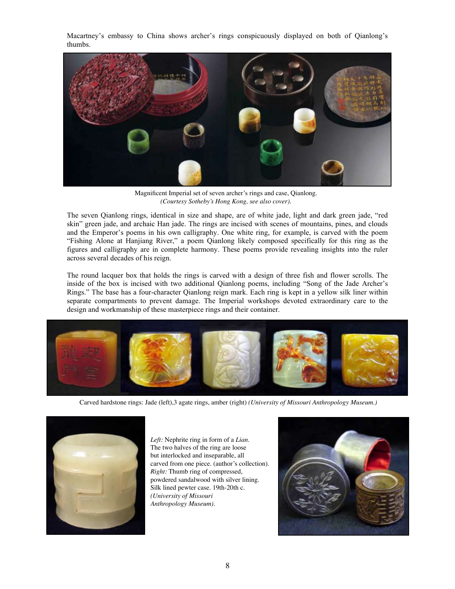Macartney's embassy to China shows archer's rings conspicuously displayed on both of Qianlong's thumbs.



Magnificent Imperial set of seven archer's rings and case, Qianlong. *(Courtesy Sotheby's Hong Kong, see also cover).*  $\mathcal{F}_{\mathcal{F}}$  and  $\mathcal{F}_{\mathcal{F}}$  are the poem  $\mathcal{F}_{\mathcal{F}}$  composed specifically for this ring as the ring as the ring as the ring as the ring as the ring as the ring as the ring as the ring as the ring as the ring as

The seven Qianlong rings, identical in size and shape, are of white jade, light and dark green jade, "red skin" green jade, and archaic Han jade. The rings are incised with scenes of mountains, pines, and clouds and the Emperor's poems in his own calligraphy. One white ring, for example, is carved with the poem "Fishing Alone at Hanjiang River," a poem Qianlong likely composed specifically for this ring as the figures and calligraphy are in complete harmony. These poems provide revealing insights into the ruler across several decades of his reign. "Fishing Alone at Hanjiang River," a poem Qianlong likely composed specifically for this ring as the figures and calligraphy are in complete harmony. These poems provide revealing insights into the ruler across several dec

The round lacquer box that holds the rings is carved with a design of three fish and flower scrolls. The inside of the box is incised with two additional Qianlong poems, including "Song of the Jade Archer's Rings." The base has a four-character Qianlong reign mark. Each ring is kept in a yellow silk liner within separate compartments to prevent damage. The Imperial workshops devoted extraordinary care to the design and workmanship of these masterpiece rings and their container.



Carved hardstone rings: Jade (left),3 agate rings, amber (right) *(University of Missouri Anthropology Museum.)*



*Left:* Nephrite ring in form of a *Lian*. The two halves of the ring are loose but interlocked and inseparable, all carved from one piece. (author's collection). *Right:* Thumb ring of compressed, powdered sandalwood with silver lining. Silk lined pewter case. 19th-20th c. *(University of Missouri Anthropology Museum).*

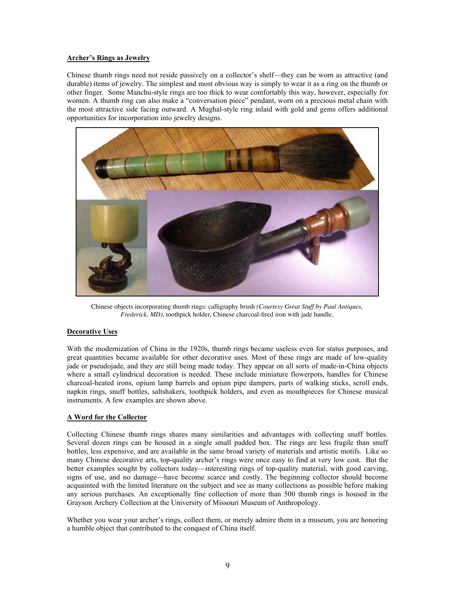## **Archer's Rings as Jewelry**

Chinese thumb rings need not reside passively on a collector's shelf—they can be worn as attractive (and durable) items of jewelry. The simplest and most obvious way is simply to wear it as a ring on the thumb or other finger. Some Manchu-style rings are too thick to wear comfortably this way, however, especially for women. A thumb ring can also make a "conversation piece" pendant, worn on a precious metal chain with the most attractive side facing outward. A Mughal-style ring inlaid with gold and gems offers additional opportunities for incorporation into jewelry designs.



Chinese objects incorporating thumb rings: calligraphy brush *(Courtesy Great Stuff by Paul Antiques, Frederick, MD)*, toothpick holder, Chinese charcoal-fired iron with jade handle.

## **Decorative Uses**

With the modernization of China in the 1920s, thumb rings became useless even for status purposes, and great quantities became available for other decorative uses. Most of these rings are made of low-quality jade or pseudojade, and they are still being made today. They appear on all sorts of made-in-China objects where a small cylindrical decoration is needed. These include miniature flowerpots, handles for Chinese charcoal-heated irons, opium lamp barrels and opium pipe dampers, parts of walking sticks, scroll ends, napkin rings, snuff bottles, saltshakers, toothpick holders, and even as mouthpieces for Chinese musical instruments. A few examples are shown above.

## **A Word for the Collector**

Collecting Chinese thumb rings shares many similarities and advantages with collecting snuff bottles. Several dozen rings can be housed in a single small padded box. The rings are less fragile than snuff bottles, less expensive, and are available in the same broad variety of materials and artistic motifs. Like so many Chinese decorative arts, top-quality archer's rings were once easy to find at very low cost. But the better examples sought by collectors today—interesting rings of top-quality material, with good carving, signs of use, and no damage—have become scarce and costly. The beginning collector should become acquainted with the limited literature on the subject and see as many collections as possible before making any serious purchases. An exceptionally fine collection of more than 500 thumb rings is housed in the Grayson Archery Collection at the University of Missouri Museum of Anthropology.

Whether you wear your archer's rings, collect them, or merely admire them in a museum, you are honoring a humble object that contributed to the conquest of China itself.